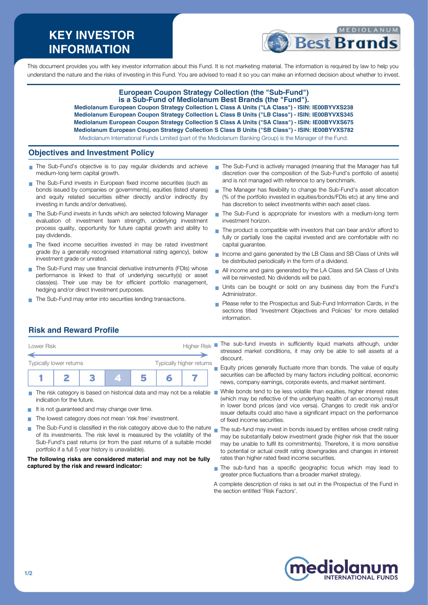# **KEY INVESTOR INFORMATION**



This document provides you with key investor information about this Fund. It is not marketing material. The information is required by law to help you understand the nature and the risks of investing in this Fund. You are advised to read it so you can make an informed decision about whether to invest.

### **European Coupon Strategy Collection (the "Sub-Fund") is a Sub-Fund of Mediolanum Best Brands (the "Fund").**

**Mediolanum European Coupon Strategy Collection L Class A Units ("LA Class") - ISIN: IE00BYVXS238 Mediolanum European Coupon Strategy Collection L Class B Units ("LB Class") - ISIN: IE00BYVXS345 Mediolanum European Coupon Strategy Collection S Class A Units ("SA Class") - ISIN: IE00BYVXS675 Mediolanum European Coupon Strategy Collection S Class B Units ("SB Class") - ISIN: IE00BYVXS782**

Mediolanum International Funds Limited (part of the Mediolanum Banking Group) is the Manager of the Fund.

### **Objectives and Investment Policy**

- The Sub-Fund's objective is to pay regular dividends and achieve medium-long term capital growth.
- The Sub-Fund invests in European fixed income securities (such as bonds issued by companies or governments), equities (listed shares) and equity related securities either directly and/or indirectly (by investing in funds and/or derivatives).
- The Sub-Fund invests in funds which are selected following Manager evaluation of: investment team strength, underlying investment process quality, opportunity for future capital growth and ability to pay dividends.
- The fixed income securities invested in may be rated investment grade (by a generally recognised international rating agency), below investment grade or unrated.
- The Sub-Fund may use financial derivative instruments (FDIs) whose performance is linked to that of underlying security(s) or asset class(es). Their use may be for efficient portfolio management, hedging and/or direct Investment purposes.
- The Sub-Fund may enter into securities lending transactions.
- The Sub-Fund is actively managed (meaning that the Manager has full discretion over the composition of the Sub-Fund's portfolio of assets) and is not managed with reference to any benchmark.
- The Manager has flexibility to change the Sub-Fund's asset allocation  $\mathcal{L}_{\mathcal{A}}$ (% of the portfolio invested in equities/bonds/FDIs etc) at any time and has discretion to select investments within each asset class.
- The Sub-Fund is appropriate for investors with a medium-long term investment horizon.
- The product is compatible with investors that can bear and/or afford to fully or partially lose the capital invested and are comfortable with no capital guarantee.
- Income and gains generated by the LB Class and SB Class of Units will be distributed periodically in the form of a dividend.
- All income and gains generated by the LA Class and SA Class of Units will be reinvested. No dividends will be paid.
- Units can be bought or sold on any business day from the Fund's Administrator.
- Please refer to the Prospectus and Sub-Fund Information Cards, in the sections titled 'Investment Objectives and Policies' for more detailed information.

# **Risk and Reward Profile**

| Typically lower returns |  |  | Typically higher returns |  |
|-------------------------|--|--|--------------------------|--|
|                         |  |  |                          |  |

- The risk category is based on historical data and may not be a reliable indication for the future.
- It is not guaranteed and may change over time.
- The lowest category does not mean 'risk free' investment.
- The Sub-Fund is classified in the risk category above due to the nature  $\sim$ of its investments. The risk level is measured by the volatility of the Sub-Fund's past returns (or from the past returns of a suitable model portfolio if a full 5 year history is unavailable).

#### **The following risks are considered material and may not be fully captured by the risk and reward indicator:**

The sub-fund invests in sufficiently liquid markets although, under stressed market conditions, it may only be able to sell assets at a discount.

 $\blacksquare$  Equity prices generally fluctuate more than bonds. The value of equity securities can be affected by many factors including political, economic news, company earnings, corporate events, and market sentiment.

- While bonds tend to be less volatile than equities, higher interest rates (which may be reflective of the underlying health of an economy) result in lower bond prices (and vice versa). Changes to credit risk and/or issuer defaults could also have a significant impact on the performance of fixed income securities.
- The sub-fund may invest in bonds issued by entities whose credit rating may be substantially below investment grade (higher risk that the issuer may be unable to fulfil its commitments). Therefore, it is more sensitive to potential or actual credit rating downgrades and changes in interest rates than higher rated fixed income securities.
- The sub-fund has a specific geographic focus which may lead to greater price fluctuations than a broader market strategy.

A complete description of risks is set out in the Prospectus of the Fund in the section entitled 'Risk Factors'.